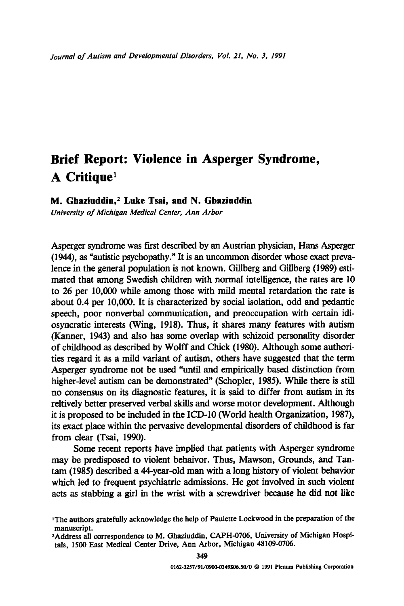# **Brief Report: Violence in Asperger Syndrome,**  A Critique<sup>1</sup>

**M. Ghaziuddin, 2 Luke Tsai, and N. Ghaziuddin** 

*University of Michigan Medical Center, Ann Arbor* 

Asperger syndrome was first described by an Austrian physician, Hans Asperger (1944), as "autistic psychopathy." It is an uncommon disorder whose exact prevalence in the general population is not known. Gillberg and Gillberg (1989) estimated that among Swedish children with normal intelligence, the rates are 10 to 26 per 10,000 while among those with mild mental retardation the rate is about 0.4 per 10,000. It is characterized by social isolation, odd and pedantic speech, poor nonverbal communication, and preoccupation with certain idiosyncratic interests (Wing, 1918). Thus, it shares many features with autism (Kanner, 1943) and also has some overlap with schizoid personality disorder of childhood as described by Wolff and Chick (1980). Although some authorities regard it as a mild variant of autism, others have suggested that the term Asperger syndrome not be used "until and empirically based distinction from higher-level autism can be demonstrated" (Schopler, 1985). While there is still no consensus on its diagnostic features, it is said to differ from autism in its reltively better preserved verbal skills and worse motor development. Although it is proposed to be included in the ICD-10 (World health Organization, 1987), its exact place within the pervasive developmental disorders of childhood is far from clear (Tsai, 1990).

Some recent reports have implied that patients with Asperger syndrome may be predisposed to violent behalvor. Thus, Mawson, Grounds, and Tantam (1985) described a 44-year-old man with a long history of violent behavior which led to frequent psychiatric admissions. He got involved in such violent acts as stabbing a girl in the wrist with a screwdriver because he did not like

JThe authors gratefully acknowledge the help of **Paulette** Lockwood in the preparation of the manuscript.

<sup>2</sup>Address all correspondence to M. Ghaziuddin, CAPH-0706, University of Michigan Hospitals, 1500 East Medical Center Drive, Ann Arbor, Michigan 48109-0706.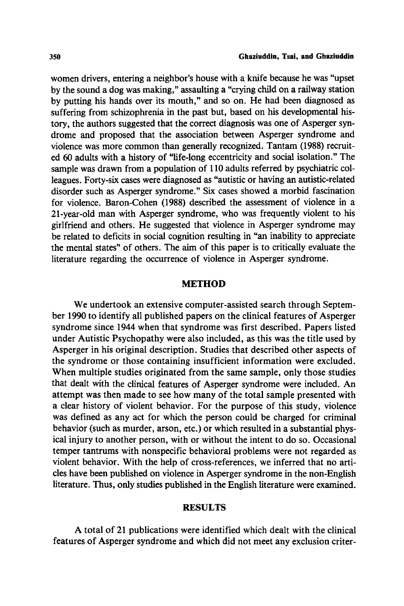women drivers, entering a neighbor's house with a knife because he was "upset by the sound a dog was making," assaulting a "crying child on a railway station by putting his hands over its mouth," and so on. He had been diagnosed as suffering from schizophrenia in the past but, based on his developmental history, the authors suggested that the correct diagnosis was one of Asperger syndrome and proposed that the association between Asperger syndrome and violence was more common than generally recognized. Tantam (1988) recruited 60 adults with a history of "life-long eccentricity and social isolation." The sample was drawn from a population of 110 adults referred by psychiatric colleagues. Forty-six cases were diagnosed as "autistic or having an autistic-related disorder such as Asperger syndrome." Six cases showed a morbid fascination for violence. Baron-Cohen (1988) described the assessment of violence in a 21-year-old man with Asperger syndrome, who was frequently violent to his girlfriend and others. He suggested that violence in Asperger syndrome may be related to deficits in social cognition resulting in "an inability to appreciate the mental states" of others. The aim of this paper is to critically evaluate the literature regarding the occurrence of violence in Asperger syndrome.

## **METHOD**

We undertook an extensive computer-assisted search through September 1990 to identify all published papers on the clinical features of Asperger syndrome since 1944 when that syndrome was first described. Papers listed under Autistic Psychopathy were also included, as this was the title used by Asperger in his original description. Studies that described other aspects of the syndrome or those containing insufficient information were excluded. When multiple studies originated from the same sample, only those studies that dealt with the clinical features of Asperger syndrome were included. An attempt was then made to see how many of the total sample presented with a clear history of violent behavior. For the purpose of this study, violence was defined as any act for which the person could be charged for criminal behavior (such as murder, arson, etc.) or which resulted in a substantial physical injury to another person, with or without the intent to do so. Occasional temper tantrums with nonspecific behavioral problems were not regarded as violent behavior. With the help of cross-references, we inferred that no articles have been published on violence in Asperger syndrome in the non-English literature. Thus, only studies published in the English literature were examined.

### RESULTS

A total of 21 publications were identified which dealt with the clinical features of Asperger syndrome and which did not meet any exclusion criter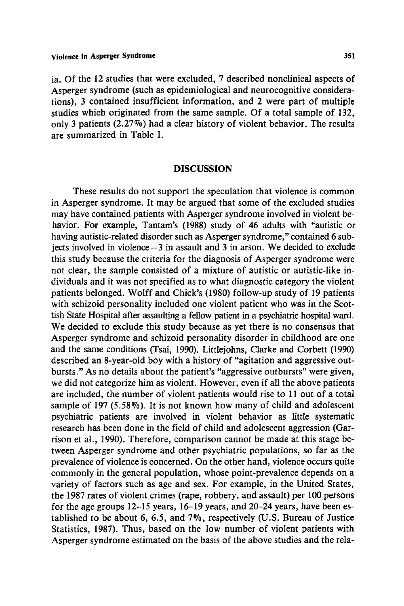ia. Of the 12 studies that were excluded, 7 described nonclinical aspects of Asperger syndrome (such as epidemiological and neurocognitive considerations), 3 contained insufficient information, and 2 were part of multiple studies which originated from the same sample. Of a total sample of 132, only 3 patients  $(2.27\%)$  had a clear history of violent behavior. The results are summarized in Table I.

## DISCUSSION

These results do not support the speculation that violence is common in Asperger syndrome. It may be argued that some of the excluded studies may have contained patients with Asperger syndrome involved in violent behavior. For example, Tantam's (1988) study of 46 adults with "autistic or having autistic-related disorder such as Asperger syndrome," contained 6 subjects involved in violence-3 in assault and 3 in arson. We decided to exclude this study because the criteria for the diagnosis of Asperger syndrome were not clear, the sample consisted of a mixture of autistic or autistic-like individuals and it was not specified as to what diagnostic category the violent patients belonged. Wolff and Chick's (1980) follow-up study of 19 patients with schizoid personality included one violent patient who was in the Scottish State Hospital after assaulting a fellow patient in a psychiatric hospital ward. We decided to exclude this study because as yet there is no consensus that Asperger syndrome and schizoid personality disorder in childhood are one and the same conditions (Tsai, 1990). Littlejohns, Clarke and Corbett (1990) described an 8-year-old boy with a history of "agitation and aggressive outbursts." As no details about the patient's "aggressive outbursts" were given, we did not categorize him as violent. However, even if all the above patients are included, the number of violent patients would rise to 11 out of a total sample of 197 (5.58 $\%$ ). It is not known how many of child and adolescent psychiatric patients are involved in violent behavior as little systematic research has been done in the field of child and adolescent aggression (Garrison et al., 1990). Therefore, comparison cannot be made at this stage between Asperger syndrome and other psychiatric populations, so far as the prevalence of violence is concerned. On the other hand, violence occurs quite commonly in the general population, whose point-prevalence depends on a variety of factors such as age and sex. For example, in the United States, the 1987 rates of violent crimes (rape, robbery, and assault) per 100 persons for the age groups 12-15 years, 16-19 years, and 20-24 years, have been established to be about 6, 6.5, and  $7\%$ , respectively (U.S. Bureau of Justice Statistics, 1987). Thus, based on the low number of violent patients with Asperger syndrome estimated on the basis of the above studies and the rela-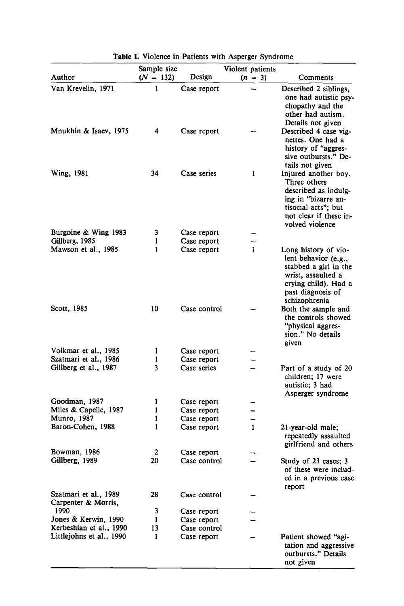|                                              | Sample size  |              | Violent patients |                                                                                                                                                           |
|----------------------------------------------|--------------|--------------|------------------|-----------------------------------------------------------------------------------------------------------------------------------------------------------|
| Author                                       | $(N = 132)$  | Design       | $(n = 3)$        | Comments                                                                                                                                                  |
| Van Krevelin, 1971                           | 1            | Case report  |                  | Described 2 siblings,<br>one had autistic psy-<br>chopathy and the<br>other had autism.<br>Details not given                                              |
| Mnukhin & Isaev, 1975                        | 4            | Case report  |                  | Described 4 case vig-<br>nettes. One had a<br>history of "aggres-<br>sive outbursts." De-<br>tails not given                                              |
| Wing, 1981                                   | 34           | Case series  | ı                | Injured another boy.<br>Three others<br>described as indulg-<br>ing in "bizarre an-<br>tisocial acts"; but<br>not clear if these in-<br>volved violence   |
| Burgoine & Wing 1983                         | 3            | Case report  |                  |                                                                                                                                                           |
| Gillberg, 1985                               | 1            | Case report  |                  |                                                                                                                                                           |
| Mawson et al., 1985                          | $\mathbf{1}$ | Case report  | $\mathbf{I}$     | Long history of vio-<br>lent behavior (e.g.,<br>stabbed a girl in the<br>wrist, assaulted a<br>crying child). Had a<br>past diagnosis of<br>schizophrenia |
| Scott, 1985                                  | 10           | Case control |                  | Both the sample and<br>the controls showed<br>"physical aggres-<br>sion." No details<br>given                                                             |
| Volkmar et al., 1985                         | 1            | Case report  |                  |                                                                                                                                                           |
| Szatmari et al., 1986                        | 1            | Case report  |                  |                                                                                                                                                           |
| Gillberg et al., 1987                        | 3            | Case series  |                  | Part of a study of 20<br>children; 17 were<br>autistic; 3 had<br>Asperger syndrome                                                                        |
| Goodman, 1987                                | 1            | Case report  |                  |                                                                                                                                                           |
| Miles & Capelle, 1987                        | 1            | Case report  |                  |                                                                                                                                                           |
| Munro, 1987                                  | 1            | Case report  |                  |                                                                                                                                                           |
| Baron-Cohen, 1988                            | $\mathbf{1}$ | Case report  | $\mathbf{I}$     | 21-year-old male;<br>repeatedly assaulted<br>girlfriend and others                                                                                        |
| Bowman, 1986                                 | 2            | Case report  |                  |                                                                                                                                                           |
| Gillberg, 1989                               | 20           | Case control |                  | Study of 23 cases; 3<br>of these were includ-<br>ed in a previous case<br>report                                                                          |
| Szatmari et al., 1989<br>Carpenter & Morris, | 28           | Case control |                  |                                                                                                                                                           |
| 1990                                         | 3            | Case report  |                  |                                                                                                                                                           |
| Jones & Kerwin, 1990                         | 1            | Case report  |                  |                                                                                                                                                           |
| Kerbeshian et al., 1990                      | 13           | Case control |                  |                                                                                                                                                           |
| Littlejohns et al., 1990                     | 1            | Case report  |                  | Patient showed "agi-<br>tation and aggressive<br>outbursts." Details<br>not given                                                                         |
|                                              |              |              |                  |                                                                                                                                                           |

# Table I. Violence in Patients with Asperger Syndrome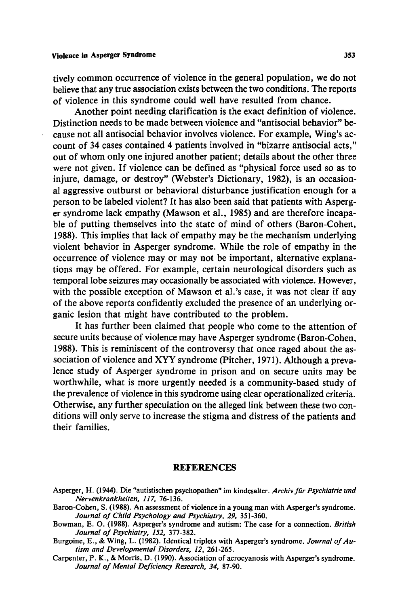#### **Violence in Asperger Syndrome 353**

tively common occurrence of violence in the general population, we do not believe that any true association exists between the two conditions. The reports of violence in this syndrome could well have resulted from chance.

Another point needing clarification is the exact definition of violence. Distinction needs to be made between violence and "antisocial behavior" because not all antisocial behavior involves violence. For example, Wing's account of 34 cases contained 4 patients involved in "bizarre antisocial acts," out of whom only one injured another patient; details about the other three were not given. If violence can be defined as "physical force used so as to injure, damage, or destroy" (Webster's Dictionary, 1982), is an occasional aggressive outburst or behavioral disturbance justification enough for a person to be labeled violent? It has also been said that patients with Asperger syndrome lack empathy (Mawson et al., 1985) and are therefore incapable of putting themselves into the state of mind of others (Baron-Cohen, 1988). This implies that lack of empathy may be the mechanism underlying violent behavior in Asperger syndrome. While the role of empathy in the occurrence of violence may or may not be important, alternative explanations may be offered. For example, certain neurological disorders such as temporal lobe seizures may occasionally be associated with violence. However, with the possible exception of Mawson et al.'s case, it was not clear if any of the above reports confidently excluded the presence of an underlying organic lesion that might have contributed to the problem.

It has further been claimed that people who come to the attention of secure units because of violence may have Asperger syndrome (Baron-Cohen, 1988). This is reminiscent of the controversy that once raged about the association of violence and XYY syndrome (Pitcher, 1971). Although a prevalence study of Asperger syndrome in prison and on secure units may be worthwhile, what is more urgently needed is a community-based study of the prevalence of violence in this syndrome using clear operationalized criteria. Otherwise, any further speculation on the alleged link between these two conditions will only serve to increase the stigma and distress of the patients and their families.

# **REFERENCES**

- Asperger, H. (1944). Die "autistischen psychopathen" im kindesalter. *Archivfiir Psychiatrie und Nervenkrankheiten, 117,* 76-136.
- Baron-Cohen, S. (1988). An assessment of violence in a young man with Asperger's syndrome. *Journal of Child Psychology and Psychiatry, 29,* 351-360.
- Bowman, E. O. (1988). Asperger's syndrome and autism: The case for a connection. *British Journal of Psychiatry, 152,* 377-382.
- Burgoine, E., & Wing, L. (1982). Identical triplets with Asperger's syndrome. *Journal of Autism and Developmental Disorders, 12,* 261-265.
- Carpenter, P. K., & Morris, D. (1990). Association of acrocyanosis with Asperger's syndrome. Journal of Mental Deficiency Research, 34, 87-90.